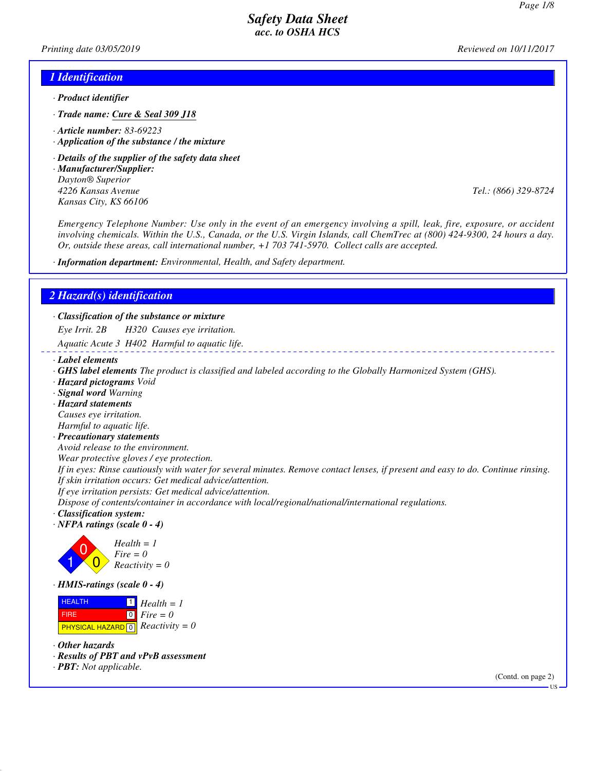*Printing date 03/05/2019 Reviewed on 10/11/2017*

#### *1 Identification*

- *· Product identifier*
- *· Trade name: Cure & Seal 309 J18*
- *· Article number: 83-69223*
- *· Application of the substance / the mixture*
- *· Details of the supplier of the safety data sheet*
- *· Manufacturer/Supplier: Dayton® Superior 4226 Kansas Avenue Tel.: (866) 329-8724 Kansas City, KS 66106*

*Emergency Telephone Number: Use only in the event of an emergency involving a spill, leak, fire, exposure, or accident involving chemicals. Within the U.S., Canada, or the U.S. Virgin Islands, call ChemTrec at (800) 424-9300, 24 hours a day. Or, outside these areas, call international number, +1 703 741-5970. Collect calls are accepted.*

*· Information department: Environmental, Health, and Safety department.*

#### *2 Hazard(s) identification*

*· Classification of the substance or mixture Eye Irrit. 2B H320 Causes eye irritation.*

*Aquatic Acute 3 H402 Harmful to aquatic life.*

- *· Label elements*
- *· GHS label elements The product is classified and labeled according to the Globally Harmonized System (GHS).*
- *· Hazard pictograms Void*
- *· Signal word Warning*
- *· Hazard statements Causes eye irritation. Harmful to aquatic life.*
- *· Precautionary statements*
- *Avoid release to the environment.*

*Wear protective gloves / eye protection.*

*If in eyes: Rinse cautiously with water for several minutes. Remove contact lenses, if present and easy to do. Continue rinsing. If skin irritation occurs: Get medical advice/attention.*

*If eye irritation persists: Get medical advice/attention.*

*Dispose of contents/container in accordance with local/regional/national/international regulations.*

- *· Classification system:*
- *· NFPA ratings (scale 0 4)*



*· HMIS-ratings (scale 0 - 4)*

 HEALTH FIRE **PHYSICAL HAZARD** 0 1 *Health = 1*  $\boxed{0}$ *Fire = 0 Reactivity = 0*

- *· Other hazards*
- *· Results of PBT and vPvB assessment*
- *· PBT: Not applicable.*

(Contd. on page 2)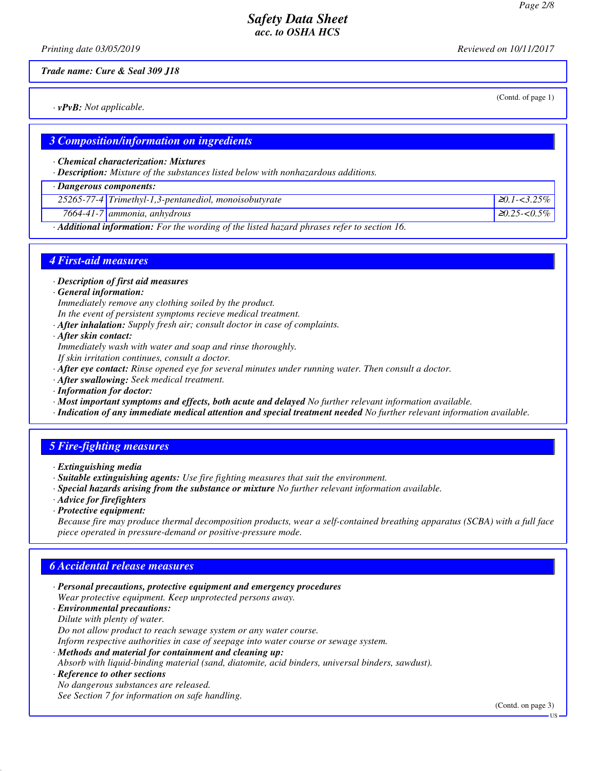(Contd. of page 1)

### *Safety Data Sheet acc. to OSHA HCS*

*Printing date 03/05/2019 Reviewed on 10/11/2017*

*Trade name: Cure & Seal 309 J18*

*· vPvB: Not applicable.*

#### *3 Composition/information on ingredients*

*· Chemical characterization: Mixtures*

*· Description: Mixture of the substances listed below with nonhazardous additions.*

*· Dangerous components: 25265-77-4 Trimethyl-1,3-pentanediol, monoisobutyrate* <sup>≥</sup>*0.1-<3.25% 7664-41-7 ammonia, anhydrous* <sup>≥</sup>*0.25-<0.5%*

*· Additional information: For the wording of the listed hazard phrases refer to section 16.*

### *4 First-aid measures*

*· Description of first aid measures*

*· General information:*

*Immediately remove any clothing soiled by the product. In the event of persistent symptoms recieve medical treatment.*

- *· After inhalation: Supply fresh air; consult doctor in case of complaints.*
- *· After skin contact:*

*Immediately wash with water and soap and rinse thoroughly.*

*If skin irritation continues, consult a doctor.*

- *· After eye contact: Rinse opened eye for several minutes under running water. Then consult a doctor.*
- *· After swallowing: Seek medical treatment.*
- *· Information for doctor:*
- *· Most important symptoms and effects, both acute and delayed No further relevant information available.*

*· Indication of any immediate medical attention and special treatment needed No further relevant information available.*

# *5 Fire-fighting measures*

- *· Suitable extinguishing agents: Use fire fighting measures that suit the environment.*
- *· Special hazards arising from the substance or mixture No further relevant information available.*
- *· Advice for firefighters*
- *· Protective equipment:*

*Because fire may produce thermal decomposition products, wear a self-contained breathing apparatus (SCBA) with a full face piece operated in pressure-demand or positive-pressure mode.*

### *6 Accidental release measures*

*· Personal precautions, protective equipment and emergency procedures Wear protective equipment. Keep unprotected persons away.*

*· Environmental precautions: Dilute with plenty of water.*

*Do not allow product to reach sewage system or any water course.*

*Inform respective authorities in case of seepage into water course or sewage system.*

*· Methods and material for containment and cleaning up:*

*Absorb with liquid-binding material (sand, diatomite, acid binders, universal binders, sawdust).*

*· Reference to other sections No dangerous substances are released. See Section 7 for information on safe handling.*

(Contd. on page 3)

*<sup>·</sup> Extinguishing media*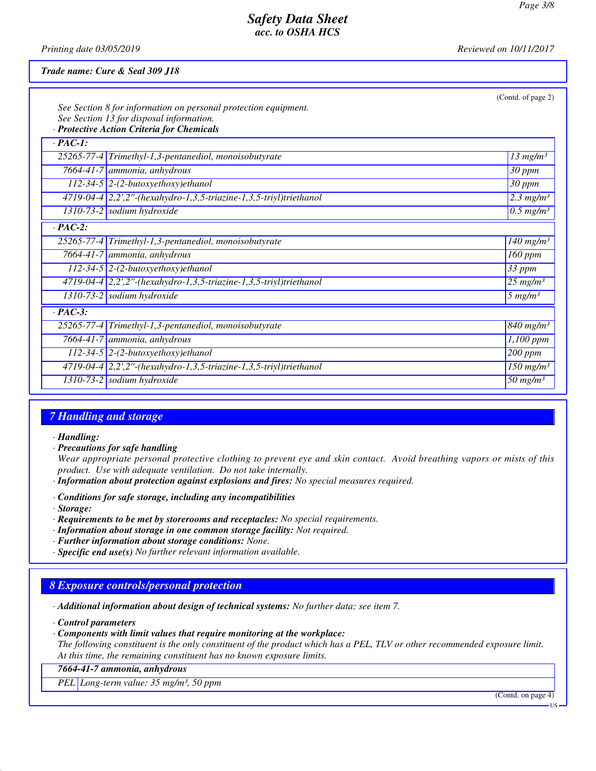*Printing date 03/05/2019 Reviewed on 10/11/2017*

#### *Trade name: Cure & Seal 309 J18*

|                | See Section 8 for information on personal protection equipment.      | (Contd. of page 2)                 |
|----------------|----------------------------------------------------------------------|------------------------------------|
|                | See Section 13 for disposal information.                             |                                    |
|                | · Protective Action Criteria for Chemicals                           |                                    |
| $\cdot$ PAC-1: |                                                                      |                                    |
|                | 25265-77-4 Trimethyl-1,3-pentanediol, monoisobutyrate                | $13 \ mg/m3$                       |
|                | 7664-41-7 ammonia, anhydrous                                         | 30 ppm                             |
|                | $112-34-5$ 2-(2-butoxyethoxy)ethanol                                 | 30 ppm                             |
|                | 4719-04-4 2,2',2"-(hexahydro-1,3,5-triazine-1,3,5-triyl)triethanol   | $2.3$ mg/m <sup>3</sup>            |
|                | $1310-73-2$ sodium hydroxide                                         | $\overline{0.5}$ mg/m <sup>3</sup> |
| $\cdot$ PAC-2: |                                                                      |                                    |
|                | 25265-77-4 Trimethyl-1,3-pentanediol, monoisobutyrate                | $140$ mg/m <sup>3</sup>            |
|                | 7664-41-7 ammonia, anhydrous                                         | 160 ppm                            |
|                | $112-34-5$ 2-(2-butoxyethoxy)ethanol                                 | 33 ppm                             |
|                | $4719-04-4$ 2,2',2"-(hexahydro-1,3,5-triazine-1,3,5-triyl)triethanol | $25$ mg/m <sup>3</sup>             |
|                | $\overline{1310-73}$ -2 sodium hydroxide                             | $5 \ mg/m^3$                       |
| $\cdot$ PAC-3: |                                                                      |                                    |
|                | 25265-77-4 Trimethyl-1,3-pentanediol, monoisobutyrate                | $\sqrt{840}$ mg/m <sup>3</sup>     |
|                | 7664-41-7 ammonia, anhydrous                                         | $1,100$ ppm                        |
|                | $112-34-5$ 2-(2-butoxyethoxy)ethanol                                 | 200 ppm                            |
|                | $4719-04-4$ 2,2',2"-(hexahydro-1,3,5-triazine-1,3,5-triyl)triethanol | $150$ mg/m <sup>3</sup>            |
|                | $\overline{1310-73}$ -2 sodium hydroxide                             | 50 $mg/m^3$                        |

#### *7 Handling and storage*

*· Handling:*

*· Precautions for safe handling*

*Wear appropriate personal protective clothing to prevent eye and skin contact. Avoid breathing vapors or mists of this product. Use with adequate ventilation. Do not take internally.*

- *· Information about protection against explosions and fires: No special measures required.*
- *· Conditions for safe storage, including any incompatibilities*
- *· Storage:*
- *· Requirements to be met by storerooms and receptacles: No special requirements.*
- *· Information about storage in one common storage facility: Not required.*
- *· Further information about storage conditions: None.*
- *· Specific end use(s) No further relevant information available.*

# *8 Exposure controls/personal protection*

*· Additional information about design of technical systems: No further data; see item 7.*

- *· Control parameters*
- *· Components with limit values that require monitoring at the workplace:*

*The following constituent is the only constituent of the product which has a PEL, TLV or other recommended exposure limit. At this time, the remaining constituent has no known exposure limits.*

*7664-41-7 ammonia, anhydrous*

*PEL Long-term value: 35 mg/m³, 50 ppm*

(Contd. on page 4)

US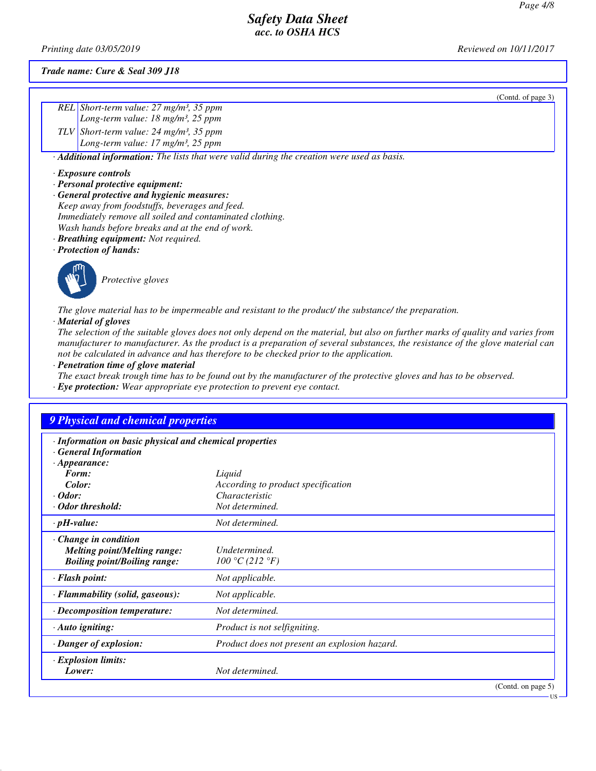US

# *Safety Data Sheet acc. to OSHA HCS*

*Printing date 03/05/2019 Reviewed on 10/11/2017*

*Trade name: Cure & Seal 309 J18*

| $\frac{REL}{Long-term value: 27 mg/m^3, 35 ppm}{Long-term value: 18 mg/m^3, 25 ppm}$                                    |
|-------------------------------------------------------------------------------------------------------------------------|
|                                                                                                                         |
| TLV Short-term value: $24 \text{ mg/m}^3$ , $35 \text{ ppm}$<br>Long-term value: $17 \text{ mg/m}^3$ , $25 \text{ ppm}$ |
|                                                                                                                         |

*· Additional information: The lists that were valid during the creation were used as basis.*

- *· Exposure controls*
- *· Personal protective equipment:*
- *· General protective and hygienic measures: Keep away from foodstuffs, beverages and feed. Immediately remove all soiled and contaminated clothing. Wash hands before breaks and at the end of work.*
- *· Breathing equipment: Not required.*
- *· Protection of hands:*



*Protective gloves*

*The glove material has to be impermeable and resistant to the product/ the substance/ the preparation. · Material of gloves*

*The selection of the suitable gloves does not only depend on the material, but also on further marks of quality and varies from manufacturer to manufacturer. As the product is a preparation of several substances, the resistance of the glove material can not be calculated in advance and has therefore to be checked prior to the application.*

*· Penetration time of glove material*

*The exact break trough time has to be found out by the manufacturer of the protective gloves and has to be observed.*

*· Eye protection: Wear appropriate eye protection to prevent eye contact.*

| <b>9 Physical and chemical properties</b>                                                         |                                               |                    |
|---------------------------------------------------------------------------------------------------|-----------------------------------------------|--------------------|
| · Information on basic physical and chemical properties<br>· General Information                  |                                               |                    |
| $\cdot$ Appearance:                                                                               |                                               |                    |
| Form:                                                                                             | Liquid                                        |                    |
| Color:                                                                                            | According to product specification            |                    |
| $\cdot$ Odor:                                                                                     | <i>Characteristic</i>                         |                    |
| · Odor threshold:                                                                                 | Not determined.                               |                    |
| $\cdot$ pH-value:                                                                                 | Not determined.                               |                    |
| Change in condition<br><b>Melting point/Melting range:</b><br><b>Boiling point/Boiling range:</b> | Undetermined.<br>100 °C (212 °F)              |                    |
| $\cdot$ Flash point:                                                                              | Not applicable.                               |                    |
| · Flammability (solid, gaseous):                                                                  | Not applicable.                               |                    |
| $\cdot$ Decomposition temperature:                                                                | Not determined.                               |                    |
| $\cdot$ Auto igniting:                                                                            | Product is not selfigniting.                  |                    |
| · Danger of explosion:                                                                            | Product does not present an explosion hazard. |                    |
| · Explosion limits:<br>Lower:                                                                     | Not determined.                               |                    |
|                                                                                                   |                                               | (Contd. on page 5) |

#### (Contd. of page 3)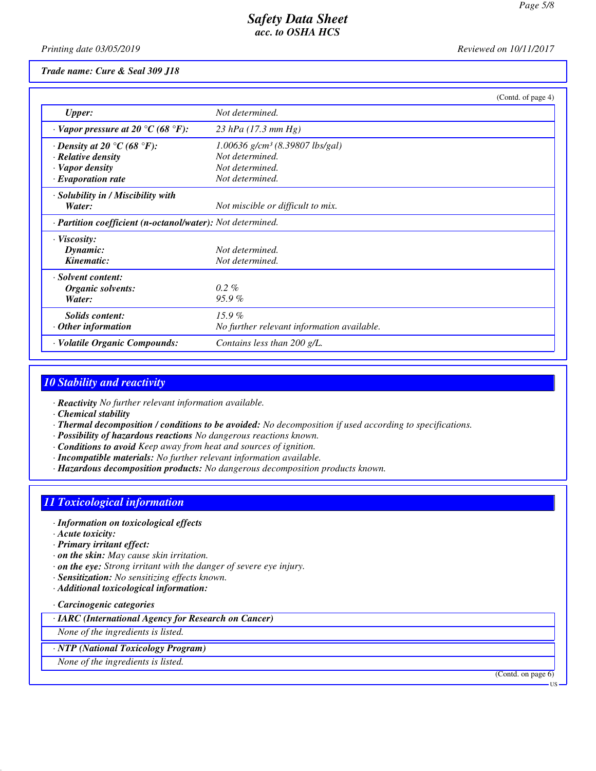*Printing date 03/05/2019 Reviewed on 10/11/2017*

#### *Trade name: Cure & Seal 309 J18*

|                                                            | (Contd. of page 4)                            |  |
|------------------------------------------------------------|-----------------------------------------------|--|
| <b>Upper:</b>                                              | Not determined.                               |  |
| $\cdot$ Vapor pressure at 20 °C (68 °F):                   | $23$ hPa (17.3 mm Hg)                         |  |
| $\cdot$ Density at 20 °C (68 °F):                          | $1.00636$ g/cm <sup>3</sup> (8.39807 lbs/gal) |  |
| · Relative density                                         | Not determined.                               |  |
| · Vapor density                                            | Not determined.                               |  |
| $\cdot$ Evaporation rate                                   | Not determined.                               |  |
| · Solubility in / Miscibility with                         |                                               |  |
| Water:                                                     | Not miscible or difficult to mix.             |  |
| · Partition coefficient (n-octanol/water): Not determined. |                                               |  |
| $\cdot$ Viscosity:                                         |                                               |  |
| Dynamic:                                                   | Not determined.                               |  |
| Kinematic:                                                 | Not determined.                               |  |
| · Solvent content:                                         |                                               |  |
| Organic solvents:                                          | $0.2\%$                                       |  |
| Water:                                                     | 95.9%                                         |  |
| <b>Solids content:</b>                                     | $15.9\%$                                      |  |
| $\cdot$ Other information                                  | No further relevant information available.    |  |
| · Volatile Organic Compounds:                              | Contains less than 200 g/L.                   |  |

# *10 Stability and reactivity*

*· Reactivity No further relevant information available.*

- *· Chemical stability*
- *· Thermal decomposition / conditions to be avoided: No decomposition if used according to specifications.*
- *· Possibility of hazardous reactions No dangerous reactions known.*
- *· Conditions to avoid Keep away from heat and sources of ignition.*
- *· Incompatible materials: No further relevant information available.*
- *· Hazardous decomposition products: No dangerous decomposition products known.*

# *11 Toxicological information*

- *· Information on toxicological effects*
- *· Acute toxicity:*
- *· Primary irritant effect:*
- *· on the skin: May cause skin irritation.*
- *· on the eye: Strong irritant with the danger of severe eye injury.*
- *· Sensitization: No sensitizing effects known.*
- *· Additional toxicological information:*
- *· Carcinogenic categories*
- *· IARC (International Agency for Research on Cancer)*
- *None of the ingredients is listed.*
- *· NTP (National Toxicology Program)*
- *None of the ingredients is listed.*

(Contd. on page 6)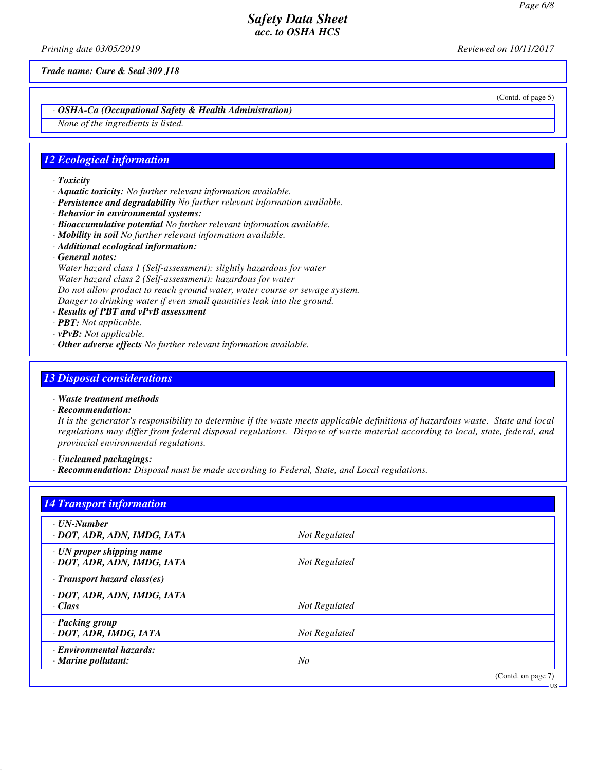*Printing date 03/05/2019 Reviewed on 10/11/2017*

*Trade name: Cure & Seal 309 J18*

*· OSHA-Ca (Occupational Safety & Health Administration)*

*None of the ingredients is listed.*

### *12 Ecological information*

- *· Toxicity*
- *· Aquatic toxicity: No further relevant information available.*
- *· Persistence and degradability No further relevant information available.*
- *· Behavior in environmental systems:*
- *· Bioaccumulative potential No further relevant information available.*
- *· Mobility in soil No further relevant information available.*
- *· Additional ecological information:*
- *· General notes:*

*Water hazard class 1 (Self-assessment): slightly hazardous for water Water hazard class 2 (Self-assessment): hazardous for water Do not allow product to reach ground water, water course or sewage system. Danger to drinking water if even small quantities leak into the ground.*

- *· Results of PBT and vPvB assessment*
- *· PBT: Not applicable.*
- *· vPvB: Not applicable.*
- *· Other adverse effects No further relevant information available.*

# *13 Disposal considerations*

- *· Waste treatment methods*
- *· Recommendation:*

*It is the generator's responsibility to determine if the waste meets applicable definitions of hazardous waste. State and local regulations may differ from federal disposal regulations. Dispose of waste material according to local, state, federal, and provincial environmental regulations.*

*· Uncleaned packagings:*

*· Recommendation: Disposal must be made according to Federal, State, and Local regulations.*

| <b>14 Transport information</b>                                |                |                    |
|----------------------------------------------------------------|----------------|--------------------|
| · UN-Number<br>· DOT, ADR, ADN, IMDG, IATA                     | Not Regulated  |                    |
| $\cdot$ UN proper shipping name<br>· DOT, ADR, ADN, IMDG, IATA | Not Regulated  |                    |
| $\cdot$ Transport hazard class(es)                             |                |                    |
| · DOT, ADR, ADN, IMDG, IATA<br>· Class                         | Not Regulated  |                    |
| · Packing group<br>· DOT, ADR, IMDG, IATA                      | Not Regulated  |                    |
| · Environmental hazards:<br>$\cdot$ Marine pollutant:          | N <sub>O</sub> |                    |
|                                                                |                | (Contd. on page 7) |

(Contd. of page 5)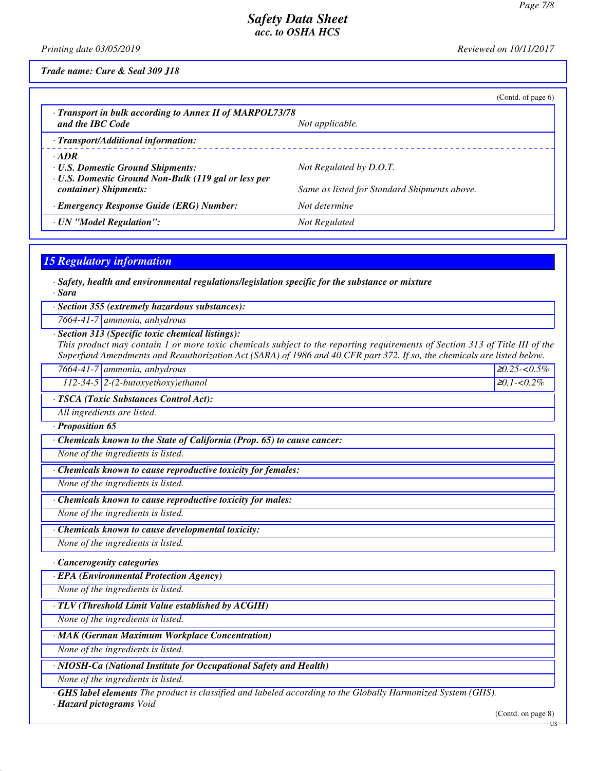*Printing date 03/05/2019 Reviewed on 10/11/2017*

*Trade name: Cure & Seal 309 J18*

|                                                                                                                                          |                                                                         | (Cond. of page 6) |
|------------------------------------------------------------------------------------------------------------------------------------------|-------------------------------------------------------------------------|-------------------|
| · Transport in bulk according to Annex II of MARPOL73/78<br>and the IBC Code                                                             | Not applicable.                                                         |                   |
| · Transport/Additional information:                                                                                                      |                                                                         |                   |
| $\cdot$ ADR<br><b>· U.S. Domestic Ground Shipments:</b><br>· U.S. Domestic Ground Non-Bulk (119 gal or less per<br>container) Shipments: | Not Regulated by D.O.T.<br>Same as listed for Standard Shipments above. |                   |
| · Emergency Response Guide (ERG) Number:                                                                                                 | Not determine                                                           |                   |
| · UN "Model Regulation":                                                                                                                 | Not Regulated                                                           |                   |
|                                                                                                                                          |                                                                         |                   |
| <b>15 Regulatory information</b>                                                                                                         |                                                                         |                   |

*· Safety, health and environmental regulations/legislation specific for the substance or mixture · Sara*

*· Section 355 (extremely hazardous substances):*

*7664-41-7 ammonia, anhydrous*

#### *· Section 313 (Specific toxic chemical listings):*

*This product may contain 1 or more toxic chemicals subject to the reporting requirements of Section 313 of Title III of the Superfund Amendments and Reauthorization Act (SARA) of 1986 and 40 CFR part 372. If so, the chemicals are listed below.*

| $7664 - 41 - 7$ | 7   ammonia, anhydrous                   | $\geq 0.25$<br>ስ ና(<br>∴ر.0>-י^ |
|-----------------|------------------------------------------|---------------------------------|
|                 | $112 - 34 - 5$ 2-(2-butoxyethoxy)ethanol | $1 - 0.2\%$<br>$\geq 0.1$       |

*· TSCA (Toxic Substances Control Act):*

*All ingredients are listed.*

*· Proposition 65*

*· Chemicals known to the State of California (Prop. 65) to cause cancer:*

*None of the ingredients is listed.*

*· Chemicals known to cause reproductive toxicity for females:*

*None of the ingredients is listed.*

*· Chemicals known to cause reproductive toxicity for males:*

*None of the ingredients is listed.*

*· Chemicals known to cause developmental toxicity:*

*None of the ingredients is listed.*

*· Cancerogenity categories*

*· EPA (Environmental Protection Agency)*

*None of the ingredients is listed.*

*· TLV (Threshold Limit Value established by ACGIH)*

*None of the ingredients is listed.*

*· MAK (German Maximum Workplace Concentration)*

*None of the ingredients is listed.*

*· NIOSH-Ca (National Institute for Occupational Safety and Health)*

*None of the ingredients is listed.*

*· GHS label elements The product is classified and labeled according to the Globally Harmonized System (GHS).*

*· Hazard pictograms Void*

*7664-41-7 ammonia, anhydrous* <sup>≥</sup>*0.25-<0.5%*